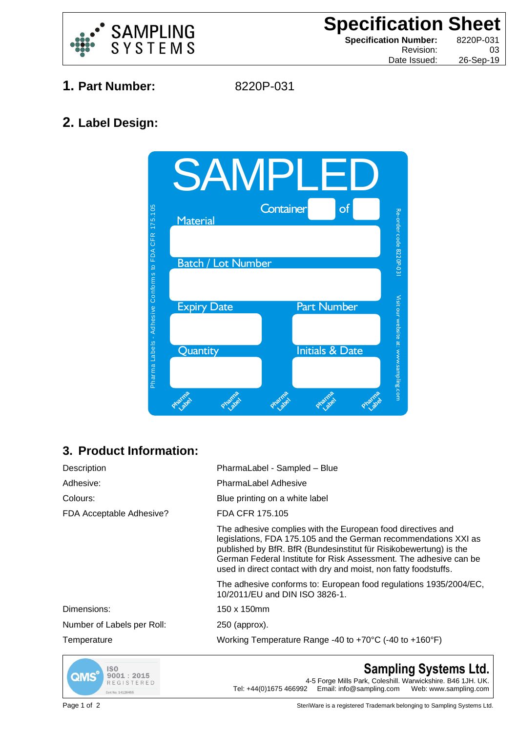

**2. Label Design:**

**Specification Sheet**<br>
Specification Number: 8220P-031 **Specification Number:** Revision: 03

Date Issued: 26-Sep-19

- **1. Part Number:** 8220P-031
	-



## **3. Product Information:**

| Description                | PharmaLabel - Sampled - Blue                                                                                                                                                                                                                                                                                                                 |
|----------------------------|----------------------------------------------------------------------------------------------------------------------------------------------------------------------------------------------------------------------------------------------------------------------------------------------------------------------------------------------|
| Adhesive:                  | <b>PharmaLabel Adhesive</b>                                                                                                                                                                                                                                                                                                                  |
| Colours:                   | Blue printing on a white label                                                                                                                                                                                                                                                                                                               |
| FDA Acceptable Adhesive?   | FDA CFR 175.105                                                                                                                                                                                                                                                                                                                              |
|                            | The adhesive complies with the European food directives and<br>legislations, FDA 175.105 and the German recommendations XXI as<br>published by BfR. BfR (Bundesinstitut für Risikobewertung) is the<br>German Federal Institute for Risk Assessment. The adhesive can be<br>used in direct contact with dry and moist, non fatty foodstuffs. |
|                            | The adhesive conforms to: European food regulations 1935/2004/EC,<br>10/2011/EU and DIN ISO 3826-1.                                                                                                                                                                                                                                          |
| Dimensions:                | 150 x 150mm                                                                                                                                                                                                                                                                                                                                  |
| Number of Labels per Roll: | 250 (approx).                                                                                                                                                                                                                                                                                                                                |
| Temperature                | Working Temperature Range -40 to $+70^{\circ}$ C (-40 to $+160^{\circ}$ F)                                                                                                                                                                                                                                                                   |



**Sampling Systems Ltd.** 4-5 Forge Mills Park, Coleshill. Warwickshire. B46 1JH. UK. Tel: +44(0)1675 466992 Email: info@sampling.com Web: www.sampling.com